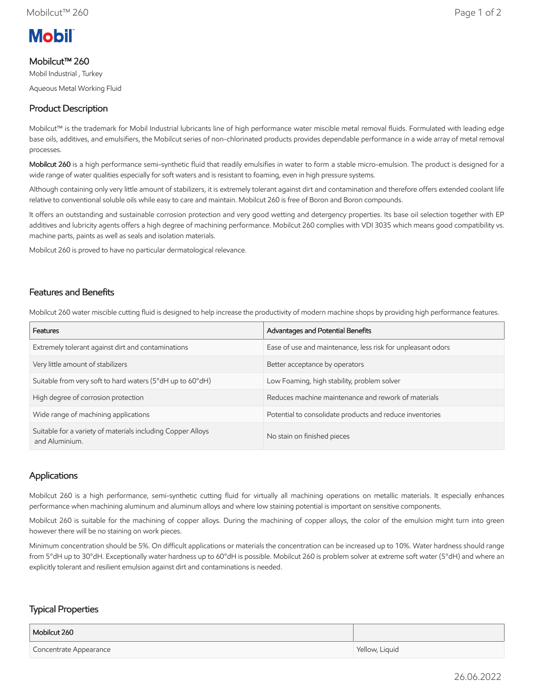

### Mobilcut™ 260

Mobil Industrial , Turkey Aqueous Metal Working Fluid

# Product Description

Mobilcut™ is the trademark for Mobil Industrial lubricants line of high performance water miscible metal removal fluids. Formulated with leading edge base oils, additives, and emulsifiers, the Mobilcut series of non-chlorinated products provides dependable performance in a wide array of metal removal processes.

Mobilcut 260 is a high performance semi-synthetic fluid that readily emulsifies in water to form a stable micro-emulsion. The product is designed for a wide range of water qualities especially for soft waters and is resistant to foaming, even in high pressure systems.

Although containing only very little amount of stabilizers, it is extremely tolerant against dirt and contamination and therefore offers extended coolant life relative to conventional soluble oils while easy to care and maintain. Mobilcut 260 is free of Boron and Boron compounds.

It offers an outstanding and sustainable corrosion protection and very good wetting and detergency properties. Its base oil selection together with EP additives and lubricity agents offers a high degree of machining performance. Mobilcut 260 complies with VDI 3035 which means good compatibility vs. machine parts, paints as well as seals and isolation materials.

Mobilcut 260 is proved to have no particular dermatological relevance.

# Features and Benefits

Mobilcut 260 water miscible cutting fluid is designed to help increase the productivity of modern machine shops by providing high performance features.

| Features                                                                      | Advantages and Potential Benefits                           |
|-------------------------------------------------------------------------------|-------------------------------------------------------------|
| Extremely tolerant against dirt and contaminations                            | Ease of use and maintenance, less risk for unpleasant odors |
| Very little amount of stabilizers                                             | Better acceptance by operators                              |
| Suitable from very soft to hard waters (5°dH up to 60°dH)                     | Low Foaming, high stability, problem solver                 |
| High degree of corrosion protection                                           | Reduces machine maintenance and rework of materials         |
| Wide range of machining applications                                          | Potential to consolidate products and reduce inventories    |
| Suitable for a variety of materials including Copper Alloys<br>and Aluminium. | No stain on finished pieces                                 |

# Applications

Mobilcut 260 is a high performance, semi-synthetic cutting fluid for virtually all machining operations on metallic materials. It especially enhances performance when machining aluminum and aluminum alloys and where low staining potential is important on sensitive components.

Mobilcut 260 is suitable for the machining of copper alloys. During the machining of copper alloys, the color of the emulsion might turn into green however there will be no staining on work pieces.

Minimum concentration should be 5%. On difficult applications or materials the concentration can be increased up to 10%. Water hardness should range from 5°dH up to 30°dH. Exceptionally water hardness up to 60°dH is possible. Mobilcut 260 is problem solver at extreme soft water (5°dH) and where an explicitly tolerant and resilient emulsion against dirt and contaminations is needed.

# Typical Properties

| Mobilcut 260           |                |
|------------------------|----------------|
| Concentrate Appearance | Yellow, Liquid |